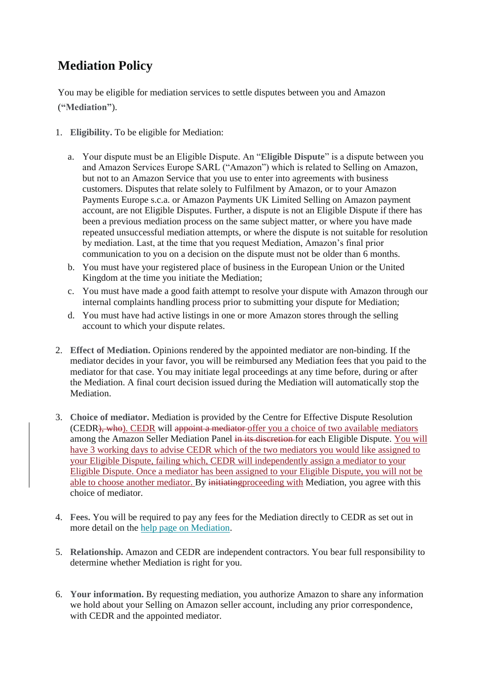## **Mediation Policy**

You may be eligible for mediation services to settle disputes between you and Amazon (**"Mediation"**).

- 1. **Eligibility.** To be eligible for Mediation:
	- a. Your dispute must be an Eligible Dispute. An "**Eligible Dispute**" is a dispute between you and Amazon Services Europe SARL ("Amazon") which is related to Selling on Amazon, but not to an Amazon Service that you use to enter into agreements with business customers. Disputes that relate solely to Fulfilment by Amazon, or to your Amazon Payments Europe s.c.a. or Amazon Payments UK Limited Selling on Amazon payment account, are not Eligible Disputes. Further, a dispute is not an Eligible Dispute if there has been a previous mediation process on the same subject matter, or where you have made repeated unsuccessful mediation attempts, or where the dispute is not suitable for resolution by mediation. Last, at the time that you request Mediation, Amazon's final prior communication to you on a decision on the dispute must not be older than 6 months.
	- b. You must have your registered place of business in the European Union or the United Kingdom at the time you initiate the Mediation;
	- c. You must have made a good faith attempt to resolve your dispute with Amazon through our internal complaints handling process prior to submitting your dispute for Mediation;
	- d. You must have had active listings in one or more Amazon stores through the selling account to which your dispute relates.
- 2. **Effect of Mediation.** Opinions rendered by the appointed mediator are non-binding. If the mediator decides in your favor, you will be reimbursed any Mediation fees that you paid to the mediator for that case. You may initiate legal proceedings at any time before, during or after the Mediation. A final court decision issued during the Mediation will automatically stop the Mediation.
- 3. **Choice of mediator.** Mediation is provided by the Centre for Effective Dispute Resolution (CEDR), who). CEDR will appoint a mediator offer you a choice of two available mediators among the Amazon Seller Mediation Panel in its discretion for each Eligible Dispute. You will have 3 working days to advise CEDR which of the two mediators you would like assigned to your Eligible Dispute, failing which, CEDR will independently assign a mediator to your Eligible Dispute. Once a mediator has been assigned to your Eligible Dispute, you will not be able to choose another mediator. By initiating proceeding with Mediation, you agree with this choice of mediator.
- 4. **Fees.** You will be required to pay any fees for the Mediation directly to CEDR as set out in more detail on the [help page on Mediation.](https://sellercentral-europe.amazon.com/gp/help/external/GG7CAYUTVZKATDUY?language=en_FR&ref=efph_GG7CAYUTVZKATDUY_cont_G67ETGRC3ZJQBTVT)
- 5. **Relationship.** Amazon and CEDR are independent contractors. You bear full responsibility to determine whether Mediation is right for you.
- 6. **Your information.** By requesting mediation, you authorize Amazon to share any information we hold about your Selling on Amazon seller account, including any prior correspondence, with CEDR and the appointed mediator.